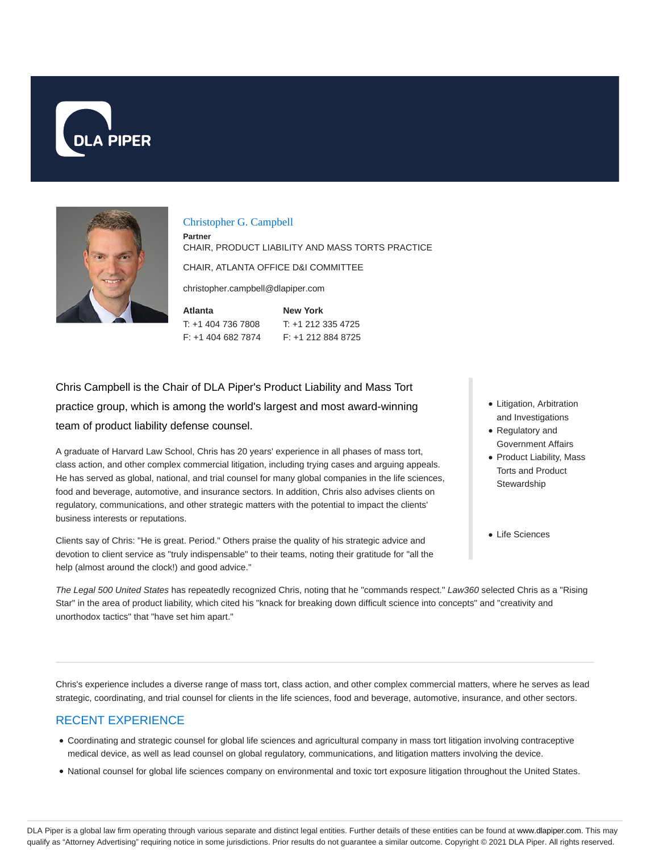



#### Christopher G. Campbell

**Partner** CHAIR, PRODUCT LIABILITY AND MASS TORTS PRACTICE

CHAIR, ATLANTA OFFICE D&I COMMITTEE

christopher.campbell@dlapiper.com

**Atlanta** T: +1 404 736 7808 F: +1 404 682 7874 **New York** T: +1 212 335 4725 F: +1 212 884 8725

Chris Campbell is the Chair of DLA Piper's Product Liability and Mass Tort practice group, which is among the world's largest and most award-winning team of product liability defense counsel.

A graduate of Harvard Law School, Chris has 20 years' experience in all phases of mass tort, class action, and other complex commercial litigation, including trying cases and arguing appeals. He has served as global, national, and trial counsel for many global companies in the life sciences, food and beverage, automotive, and insurance sectors. In addition, Chris also advises clients on regulatory, communications, and other strategic matters with the potential to impact the clients' business interests or reputations.

Clients say of Chris: "He is great. Period." Others praise the quality of his strategic advice and devotion to client service as "truly indispensable" to their teams, noting their gratitude for "all the help (almost around the clock!) and good advice."

- Litigation, Arbitration and Investigations
- Regulatory and Government Affairs
- Product Liability, Mass Torts and Product **Stewardship**
- Life Sciences

The Legal 500 United States has repeatedly recognized Chris, noting that he "commands respect." Law360 selected Chris as a "Rising Star" in the area of product liability, which cited his "knack for breaking down difficult science into concepts" and "creativity and unorthodox tactics" that "have set him apart."

Chris's experience includes a diverse range of mass tort, class action, and other complex commercial matters, where he serves as lead strategic, coordinating, and trial counsel for clients in the life sciences, food and beverage, automotive, insurance, and other sectors.

### RECENT EXPERIENCE

- Coordinating and strategic counsel for global life sciences and agricultural company in mass tort litigation involving contraceptive medical device, as well as lead counsel on global regulatory, communications, and litigation matters involving the device.
- National counsel for global life sciences company on environmental and toxic tort exposure litigation throughout the United States.

DLA Piper is a global law firm operating through various separate and distinct legal entities. Further details of these entities can be found at www.dlapiper.com. This may qualify as "Attorney Advertising" requiring notice in some jurisdictions. Prior results do not guarantee a similar outcome. Copyright © 2021 DLA Piper. All rights reserved.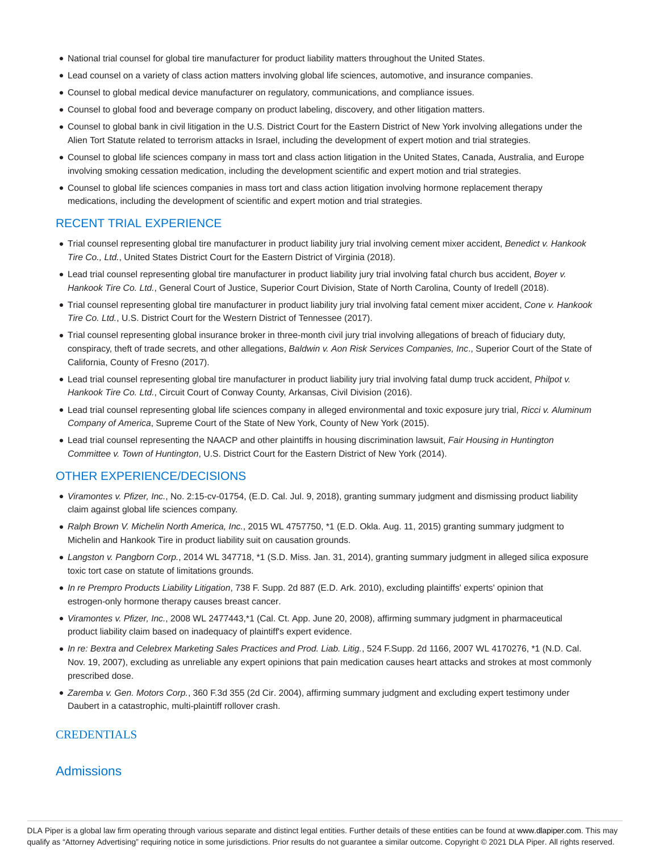- National trial counsel for global tire manufacturer for product liability matters throughout the United States.
- Lead counsel on a variety of class action matters involving global life sciences, automotive, and insurance companies.
- Counsel to global medical device manufacturer on regulatory, communications, and compliance issues.
- Counsel to global food and beverage company on product labeling, discovery, and other litigation matters.
- Counsel to global bank in civil litigation in the U.S. District Court for the Eastern District of New York involving allegations under the Alien Tort Statute related to terrorism attacks in Israel, including the development of expert motion and trial strategies.
- Counsel to global life sciences company in mass tort and class action litigation in the United States, Canada, Australia, and Europe involving smoking cessation medication, including the development scientific and expert motion and trial strategies.
- Counsel to global life sciences companies in mass tort and class action litigation involving hormone replacement therapy medications, including the development of scientific and expert motion and trial strategies.

#### RECENT TRIAL EXPERIENCE

- Trial counsel representing global tire manufacturer in product liability jury trial involving cement mixer accident, Benedict v. Hankook Tire Co., Ltd., United States District Court for the Eastern District of Virginia (2018).
- Lead trial counsel representing global tire manufacturer in product liability jury trial involving fatal church bus accident, Boyer v. Hankook Tire Co. Ltd., General Court of Justice, Superior Court Division, State of North Carolina, County of Iredell (2018).
- Trial counsel representing global tire manufacturer in product liability jury trial involving fatal cement mixer accident, Cone v. Hankook Tire Co. Ltd., U.S. District Court for the Western District of Tennessee (2017).
- Trial counsel representing global insurance broker in three-month civil jury trial involving allegations of breach of fiduciary duty, conspiracy, theft of trade secrets, and other allegations, Baldwin v. Aon Risk Services Companies, Inc., Superior Court of the State of California, County of Fresno (2017).
- Lead trial counsel representing global tire manufacturer in product liability jury trial involving fatal dump truck accident, Philpot v. Hankook Tire Co. Ltd., Circuit Court of Conway County, Arkansas, Civil Division (2016).
- Lead trial counsel representing global life sciences company in alleged environmental and toxic exposure jury trial, Ricci v. Aluminum Company of America, Supreme Court of the State of New York, County of New York (2015).
- Lead trial counsel representing the NAACP and other plaintiffs in housing discrimination lawsuit, Fair Housing in Huntington Committee v. Town of Huntington, U.S. District Court for the Eastern District of New York (2014).

#### OTHER EXPERIENCE/DECISIONS

- Viramontes v. Pfizer, Inc., No. 2:15-cv-01754, (E.D. Cal. Jul. 9, 2018), granting summary judgment and dismissing product liability claim against global life sciences company.
- Ralph Brown V. Michelin North America, Inc., 2015 WL 4757750, \*1 (E.D. Okla. Aug. 11, 2015) granting summary judgment to Michelin and Hankook Tire in product liability suit on causation grounds.
- Langston v. Pangborn Corp., 2014 WL 347718, \*1 (S.D. Miss. Jan. 31, 2014), granting summary judgment in alleged silica exposure toxic tort case on statute of limitations grounds.
- In re Prempro Products Liability Litigation, 738 F. Supp. 2d 887 (E.D. Ark. 2010), excluding plaintiffs' experts' opinion that estrogen-only hormone therapy causes breast cancer.
- Viramontes v. Pfizer, Inc., 2008 WL 2477443,\*1 (Cal. Ct. App. June 20, 2008), affirming summary judgment in pharmaceutical product liability claim based on inadequacy of plaintiff's expert evidence.
- In re: Bextra and Celebrex Marketing Sales Practices and Prod. Liab. Litig., 524 F.Supp. 2d 1166, 2007 WL 4170276, \*1 (N.D. Cal. Nov. 19, 2007), excluding as unreliable any expert opinions that pain medication causes heart attacks and strokes at most commonly prescribed dose.
- Zaremba v. Gen. Motors Corp., 360 F.3d 355 (2d Cir. 2004), affirming summary judgment and excluding expert testimony under Daubert in a catastrophic, multi-plaintiff rollover crash.

#### **CREDENTIALS**

#### Admissions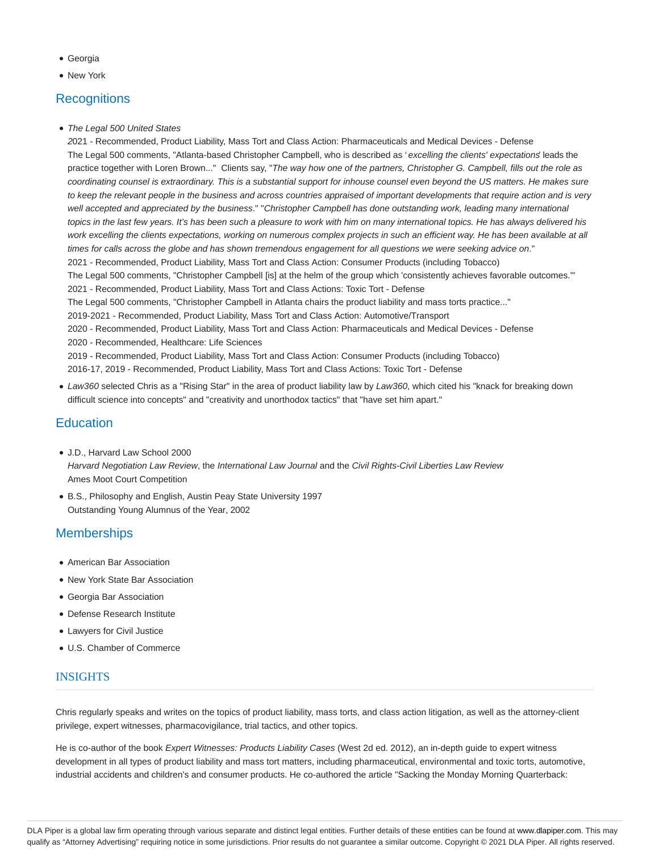- Georgia
- **New York**

## **Recognitions**

• The Legal 500 United States

2021 - Recommended, Product Liability, Mass Tort and Class Action: Pharmaceuticals and Medical Devices - Defense The Legal 500 comments, "Atlanta-based Christopher Campbell, who is described as 'excelling the clients' expectations leads the practice together with Loren Brown..." Clients say, "The way how one of the partners, Christopher G. Campbell, fills out the role as coordinating counsel is extraordinary. This is a substantial support for inhouse counsel even beyond the US matters. He makes sure to keep the relevant people in the business and across countries appraised of important developments that require action and is very well accepted and appreciated by the business." "Christopher Campbell has done outstanding work, leading many international topics in the last few years. It's has been such a pleasure to work with him on many international topics. He has always delivered his work excelling the clients expectations, working on numerous complex projects in such an efficient way. He has been available at all times for calls across the globe and has shown tremendous engagement for all questions we were seeking advice on." 2021 - Recommended, Product Liability, Mass Tort and Class Action: Consumer Products (including Tobacco) The Legal 500 comments, "Christopher Campbell [is] at the helm of the group which 'consistently achieves favorable outcomes.'" 2021 - Recommended, Product Liability, Mass Tort and Class Actions: Toxic Tort - Defense The Legal 500 comments, "Christopher Campbell in Atlanta chairs the product liability and mass torts practice..." 2019-2021 - Recommended, Product Liability, Mass Tort and Class Action: Automotive/Transport 2020 - Recommended, Product Liability, Mass Tort and Class Action: Pharmaceuticals and Medical Devices - Defense 2020 - Recommended, Healthcare: Life Sciences 2019 - Recommended, Product Liability, Mass Tort and Class Action: Consumer Products (including Tobacco) 2016-17, 2019 - Recommended, Product Liability, Mass Tort and Class Actions: Toxic Tort - Defense

• Law360 selected Chris as a "Rising Star" in the area of product liability law by Law360, which cited his "knack for breaking down difficult science into concepts" and "creativity and unorthodox tactics" that "have set him apart."

### **Education**

- J.D., Harvard Law School 2000 Harvard Negotiation Law Review, the International Law Journal and the Civil Rights-Civil Liberties Law Review Ames Moot Court Competition
- B.S., Philosophy and English, Austin Peay State University 1997 Outstanding Young Alumnus of the Year, 2002

## **Memberships**

- American Bar Association
- New York State Bar Association
- Georgia Bar Association
- Defense Research Institute
- Lawyers for Civil Justice
- U.S. Chamber of Commerce

### **INSIGHTS**

Chris regularly speaks and writes on the topics of product liability, mass torts, and class action litigation, as well as the attorney-client privilege, expert witnesses, pharmacovigilance, trial tactics, and other topics.

He is co-author of the book Expert Witnesses: Products Liability Cases (West 2d ed. 2012), an in-depth guide to expert witness development in all types of product liability and mass tort matters, including pharmaceutical, environmental and toxic torts, automotive, industrial accidents and children's and consumer products. He co-authored the article "Sacking the Monday Morning Quarterback: